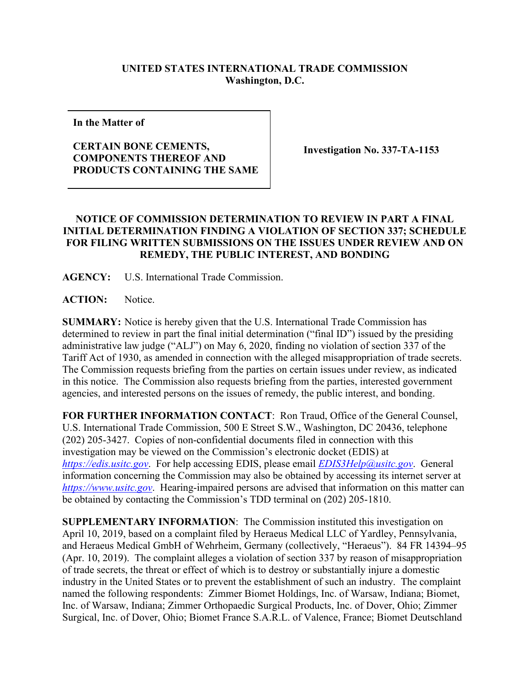## **UNITED STATES INTERNATIONAL TRADE COMMISSION Washington, D.C.**

**In the Matter of**

## **CERTAIN BONE CEMENTS, COMPONENTS THEREOF AND PRODUCTS CONTAINING THE SAME**

**Investigation No. 337-TA-1153**

## **NOTICE OF COMMISSION DETERMINATION TO REVIEW IN PART A FINAL INITIAL DETERMINATION FINDING A VIOLATION OF SECTION 337; SCHEDULE FOR FILING WRITTEN SUBMISSIONS ON THE ISSUES UNDER REVIEW AND ON REMEDY, THE PUBLIC INTEREST, AND BONDING**

**AGENCY:** U.S. International Trade Commission.

ACTION: Notice.

**SUMMARY:** Notice is hereby given that the U.S. International Trade Commission has determined to review in part the final initial determination ("final ID") issued by the presiding administrative law judge ("ALJ") on May 6, 2020, finding no violation of section 337 of the Tariff Act of 1930, as amended in connection with the alleged misappropriation of trade secrets. The Commission requests briefing from the parties on certain issues under review, as indicated in this notice. The Commission also requests briefing from the parties, interested government agencies, and interested persons on the issues of remedy, the public interest, and bonding.

**FOR FURTHER INFORMATION CONTACT**: Ron Traud, Office of the General Counsel, U.S. International Trade Commission, 500 E Street S.W., Washington, DC 20436, telephone (202) 205-3427. Copies of non-confidential documents filed in connection with this investigation may be viewed on the Commission's electronic docket (EDIS) at *[https://edis.usitc.gov](https://edis.usitc.gov/)*. For help accessing EDIS, please email *EDIS3Help@usitc.gov*. General information concerning the Commission may also be obtained by accessing its internet server at *[https://www.usitc.gov](https://www.usitc.gov/)*. Hearing-impaired persons are advised that information on this matter can be obtained by contacting the Commission's TDD terminal on (202) 205-1810.

**SUPPLEMENTARY INFORMATION**: The Commission instituted this investigation on April 10, 2019, based on a complaint filed by Heraeus Medical LLC of Yardley, Pennsylvania, and Heraeus Medical GmbH of Wehrheim, Germany (collectively, "Heraeus"). 84 FR 14394–95 (Apr. 10, 2019). The complaint alleges a violation of section 337 by reason of misappropriation of trade secrets, the threat or effect of which is to destroy or substantially injure a domestic industry in the United States or to prevent the establishment of such an industry. The complaint named the following respondents: Zimmer Biomet Holdings, Inc. of Warsaw, Indiana; Biomet, Inc. of Warsaw, Indiana; Zimmer Orthopaedic Surgical Products, Inc. of Dover, Ohio; Zimmer Surgical, Inc. of Dover, Ohio; Biomet France S.A.R.L. of Valence, France; Biomet Deutschland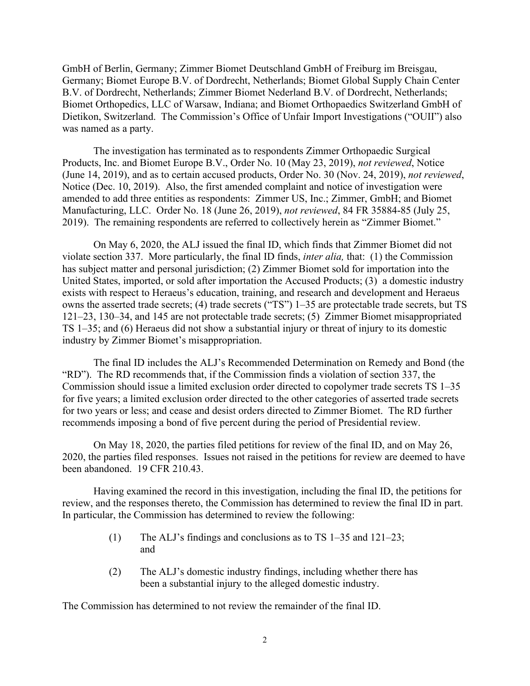GmbH of Berlin, Germany; Zimmer Biomet Deutschland GmbH of Freiburg im Breisgau, Germany; Biomet Europe B.V. of Dordrecht, Netherlands; Biomet Global Supply Chain Center B.V. of Dordrecht, Netherlands; Zimmer Biomet Nederland B.V. of Dordrecht, Netherlands; Biomet Orthopedics, LLC of Warsaw, Indiana; and Biomet Orthopaedics Switzerland GmbH of Dietikon, Switzerland. The Commission's Office of Unfair Import Investigations ("OUII") also was named as a party.

The investigation has terminated as to respondents Zimmer Orthopaedic Surgical Products, Inc. and Biomet Europe B.V., Order No. 10 (May 23, 2019), *not reviewed*, Notice (June 14, 2019), and as to certain accused products, Order No. 30 (Nov. 24, 2019), *not reviewed*, Notice (Dec. 10, 2019). Also, the first amended complaint and notice of investigation were amended to add three entities as respondents: Zimmer US, Inc.; Zimmer, GmbH; and Biomet Manufacturing, LLC. Order No. 18 (June 26, 2019), *not reviewed*, 84 FR 35884-85 (July 25, 2019). The remaining respondents are referred to collectively herein as "Zimmer Biomet."

On May 6, 2020, the ALJ issued the final ID, which finds that Zimmer Biomet did not violate section 337. More particularly, the final ID finds, *inter alia,* that: (1) the Commission has subject matter and personal jurisdiction; (2) Zimmer Biomet sold for importation into the United States, imported, or sold after importation the Accused Products; (3) a domestic industry exists with respect to Heraeus's education, training, and research and development and Heraeus owns the asserted trade secrets; (4) trade secrets ("TS") 1–35 are protectable trade secrets, but TS 121–23, 130–34, and 145 are not protectable trade secrets; (5) Zimmer Biomet misappropriated TS 1–35; and (6) Heraeus did not show a substantial injury or threat of injury to its domestic industry by Zimmer Biomet's misappropriation.

The final ID includes the ALJ's Recommended Determination on Remedy and Bond (the "RD"). The RD recommends that, if the Commission finds a violation of section 337, the Commission should issue a limited exclusion order directed to copolymer trade secrets TS 1–35 for five years; a limited exclusion order directed to the other categories of asserted trade secrets for two years or less; and cease and desist orders directed to Zimmer Biomet. The RD further recommends imposing a bond of five percent during the period of Presidential review.

On May 18, 2020, the parties filed petitions for review of the final ID, and on May 26, 2020, the parties filed responses. Issues not raised in the petitions for review are deemed to have been abandoned. 19 CFR 210.43.

Having examined the record in this investigation, including the final ID, the petitions for review, and the responses thereto, the Commission has determined to review the final ID in part. In particular, the Commission has determined to review the following:

- (1) The ALJ's findings and conclusions as to TS 1–35 and 121–23; and
- (2) The ALJ's domestic industry findings, including whether there has been a substantial injury to the alleged domestic industry.

The Commission has determined to not review the remainder of the final ID.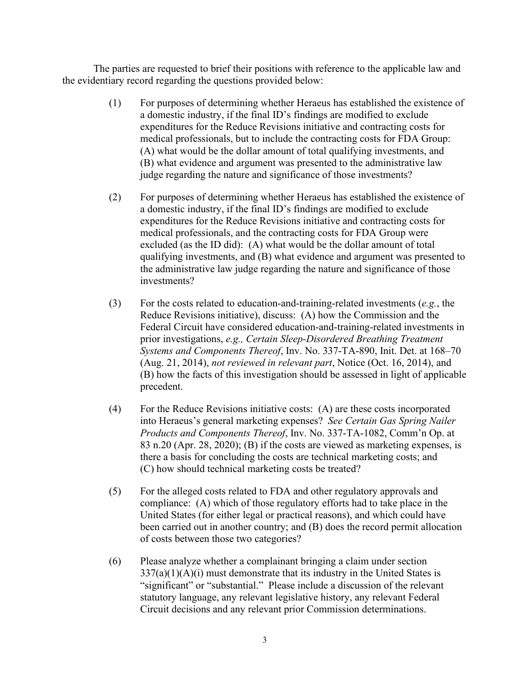The parties are requested to brief their positions with reference to the applicable law and the evidentiary record regarding the questions provided below:

- (1) For purposes of determining whether Heraeus has established the existence of a domestic industry, if the final ID's findings are modified to exclude expenditures for the Reduce Revisions initiative and contracting costs for medical professionals, but to include the contracting costs for FDA Group: (A) what would be the dollar amount of total qualifying investments, and (B) what evidence and argument was presented to the administrative law judge regarding the nature and significance of those investments?
- (2) For purposes of determining whether Heraeus has established the existence of a domestic industry, if the final ID's findings are modified to exclude expenditures for the Reduce Revisions initiative and contracting costs for medical professionals, and the contracting costs for FDA Group were excluded (as the ID did): (A) what would be the dollar amount of total qualifying investments, and (B) what evidence and argument was presented to the administrative law judge regarding the nature and significance of those investments?
- (3) For the costs related to education-and-training-related investments (*e.g.*, the Reduce Revisions initiative), discuss: (A) how the Commission and the Federal Circuit have considered education-and-training-related investments in prior investigations, *e.g., Certain Sleep-Disordered Breathing Treatment Systems and Components Thereof*, Inv. No. 337-TA-890, Init. Det. at 168–70 (Aug. 21, 2014), *not reviewed in relevant part*, Notice (Oct. 16, 2014), and (B) how the facts of this investigation should be assessed in light of applicable precedent.
- (4) For the Reduce Revisions initiative costs: (A) are these costs incorporated into Heraeus's general marketing expenses? *See Certain Gas Spring Nailer Products and Components Thereof*, Inv. No. 337-TA-1082, Comm'n Op. at 83 n.20 (Apr. 28, 2020); (B) if the costs are viewed as marketing expenses, is there a basis for concluding the costs are technical marketing costs; and (C) how should technical marketing costs be treated?
- (5) For the alleged costs related to FDA and other regulatory approvals and compliance: (A) which of those regulatory efforts had to take place in the United States (for either legal or practical reasons), and which could have been carried out in another country; and (B) does the record permit allocation of costs between those two categories?
- (6) Please analyze whether a complainant bringing a claim under section  $337(a)(1)(A)(i)$  must demonstrate that its industry in the United States is "significant" or "substantial." Please include a discussion of the relevant statutory language, any relevant legislative history, any relevant Federal Circuit decisions and any relevant prior Commission determinations.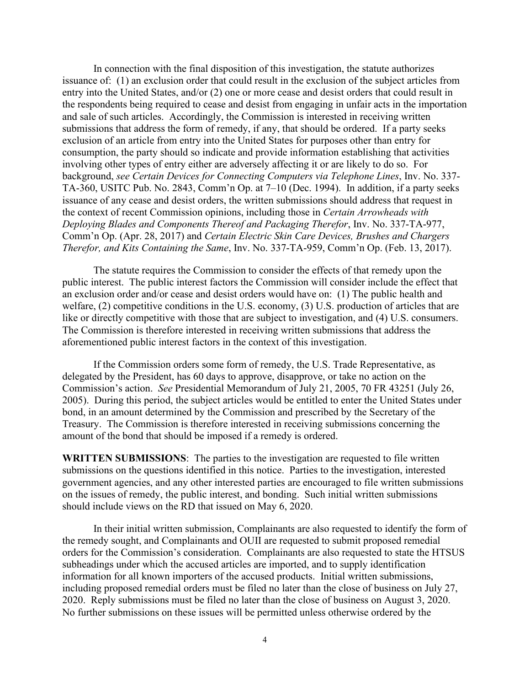In connection with the final disposition of this investigation, the statute authorizes issuance of: (1) an exclusion order that could result in the exclusion of the subject articles from entry into the United States, and/or (2) one or more cease and desist orders that could result in the respondents being required to cease and desist from engaging in unfair acts in the importation and sale of such articles. Accordingly, the Commission is interested in receiving written submissions that address the form of remedy, if any, that should be ordered. If a party seeks exclusion of an article from entry into the United States for purposes other than entry for consumption, the party should so indicate and provide information establishing that activities involving other types of entry either are adversely affecting it or are likely to do so. For background, *see Certain Devices for Connecting Computers via Telephone Lines*, Inv. No. 337- TA-360, USITC Pub. No. 2843, Comm'n Op. at 7–10 (Dec. 1994). In addition, if a party seeks issuance of any cease and desist orders, the written submissions should address that request in the context of recent Commission opinions, including those in *Certain Arrowheads with Deploying Blades and Components Thereof and Packaging Therefor*, Inv. No. 337-TA-977, Comm'n Op. (Apr. 28, 2017) and *Certain Electric Skin Care Devices, Brushes and Chargers Therefor, and Kits Containing the Same*, Inv. No. 337-TA-959, Comm'n Op. (Feb. 13, 2017).

The statute requires the Commission to consider the effects of that remedy upon the public interest. The public interest factors the Commission will consider include the effect that an exclusion order and/or cease and desist orders would have on: (1) The public health and welfare, (2) competitive conditions in the U.S. economy, (3) U.S. production of articles that are like or directly competitive with those that are subject to investigation, and (4) U.S. consumers. The Commission is therefore interested in receiving written submissions that address the aforementioned public interest factors in the context of this investigation.

If the Commission orders some form of remedy, the U.S. Trade Representative, as delegated by the President, has 60 days to approve, disapprove, or take no action on the Commission's action. *See* Presidential Memorandum of July 21, 2005, 70 FR 43251 (July 26, 2005). During this period, the subject articles would be entitled to enter the United States under bond, in an amount determined by the Commission and prescribed by the Secretary of the Treasury. The Commission is therefore interested in receiving submissions concerning the amount of the bond that should be imposed if a remedy is ordered.

**WRITTEN SUBMISSIONS**: The parties to the investigation are requested to file written submissions on the questions identified in this notice. Parties to the investigation, interested government agencies, and any other interested parties are encouraged to file written submissions on the issues of remedy, the public interest, and bonding. Such initial written submissions should include views on the RD that issued on May 6, 2020.

In their initial written submission, Complainants are also requested to identify the form of the remedy sought, and Complainants and OUII are requested to submit proposed remedial orders for the Commission's consideration. Complainants are also requested to state the HTSUS subheadings under which the accused articles are imported, and to supply identification information for all known importers of the accused products. Initial written submissions, including proposed remedial orders must be filed no later than the close of business on July 27, 2020. Reply submissions must be filed no later than the close of business on August 3, 2020. No further submissions on these issues will be permitted unless otherwise ordered by the